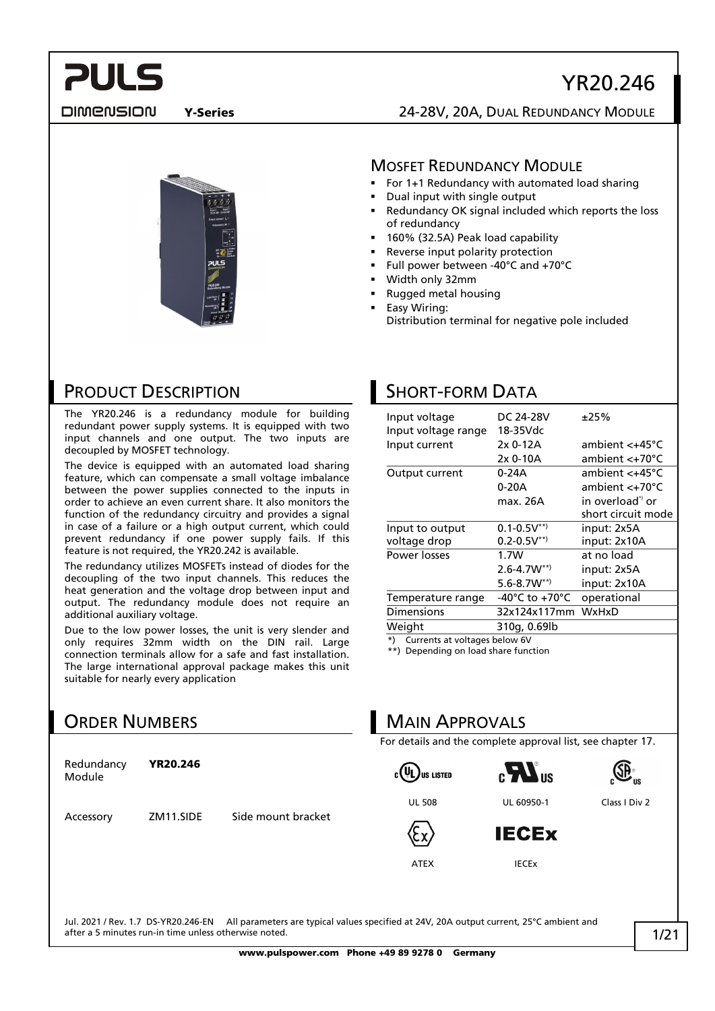DIMENSION

**PULS** 

Y-Series 24-28V, 20A, DUAL REDUNDANCY MODULE



### **MOSFET REDUNDANCY MODULE**

- For 1+1 Redundancy with automated load sharing
- Dual input with single output
- Redundancy OK signal included which reports the loss of redundancy
- 160% (32.5A) Peak load capability
- Reverse input polarity protection
- Full power between -40°C and +70°C

SHORT-FORM DATA

Input voltage range 18-35Vdc

Weight 310g, 0.69lb \*) Currents at voltages below 6V \*\*) Depending on load share function

**MAIN APPROVALS** 

Width only 32mm

Input to output voltage drop

- Rugged metal housing
	- Easy Wiring: Distribution terminal for negative pole included

Input voltage  $DC 24-28V = \pm 25\%$ 

Input current 2x 0-12A ambient <+45°C

Output current 0-24A ambient <+45°C

 $0.1-0.5V^{**}$  $0.2 - 0.5V^{**}$ 

Power losses 1.7W at no load

Temperature range -40°C to +70°C operational Dimensions 32x124x117mm WxHxD

For details and the complete approval list, see chapter 17.

2x 0-10A ambient <+70°C

0-20A ambient <+70°C max. 26A in overload<sup>\*</sup> or

2.6-4.7W\*\*) input: 2x5A 5.6-8.7W\*\*) input: 2x10A

short circuit mode

input: 2x5A input: 2x10A

### PRODUCT DESCRIPTION

The YR20.246 is a redundancy module for building redundant power supply systems. It is equipped with two input channels and one output. The two inputs are decoupled by MOSFET technology.

The device is equipped with an automated load sharing feature, which can compensate a small voltage imbalance between the power supplies connected to the inputs in order to achieve an even current share. It also monitors the function of the redundancy circuitry and provides a signal in case of a failure or a high output current, which could prevent redundancy if one power supply fails. If this feature is not required, the YR20.242 is available.

The redundancy utilizes MOSFETs instead of diodes for the decoupling of the two input channels. This reduces the heat generation and the voltage drop between input and output. The redundancy module does not require an additional auxiliary voltage.

Due to the low power losses, the unit is very slender and only requires 32mm width on the DIN rail. Large connection terminals allow for a safe and fast installation. The large international approval package makes this unit suitable for nearly every application

### ORDER NUMBERS

| Redundancy<br>Module | <b>YR20.246</b> |                    | $_{\rm c}(\mathtt{\mathtt{U}}_{\mathsf{L}})$ us listed | $\mathbf{c}$ $\mathbf{H}$ <sub>us</sub> | $\overline{\mathbb{CP}}^n$ |
|----------------------|-----------------|--------------------|--------------------------------------------------------|-----------------------------------------|----------------------------|
|                      |                 |                    | <b>UL 508</b>                                          | UL 60950-1                              | Class I Div 2              |
| Accessory            | ZM11.SIDE       | Side mount bracket | cx.                                                    | <b>IECEX</b>                            |                            |
|                      |                 |                    | <b>ATEX</b>                                            | <b>IECEX</b>                            |                            |
|                      |                 |                    |                                                        |                                         |                            |
|                      |                 |                    |                                                        |                                         |                            |

Jul. 2021 / Rev. 1.7 DS-YR20.246-EN All parameters are typical values specified at 24V, 20A output current, 25°C ambient and after a 5 minutes run-in time unless otherwise noted.

### 1/21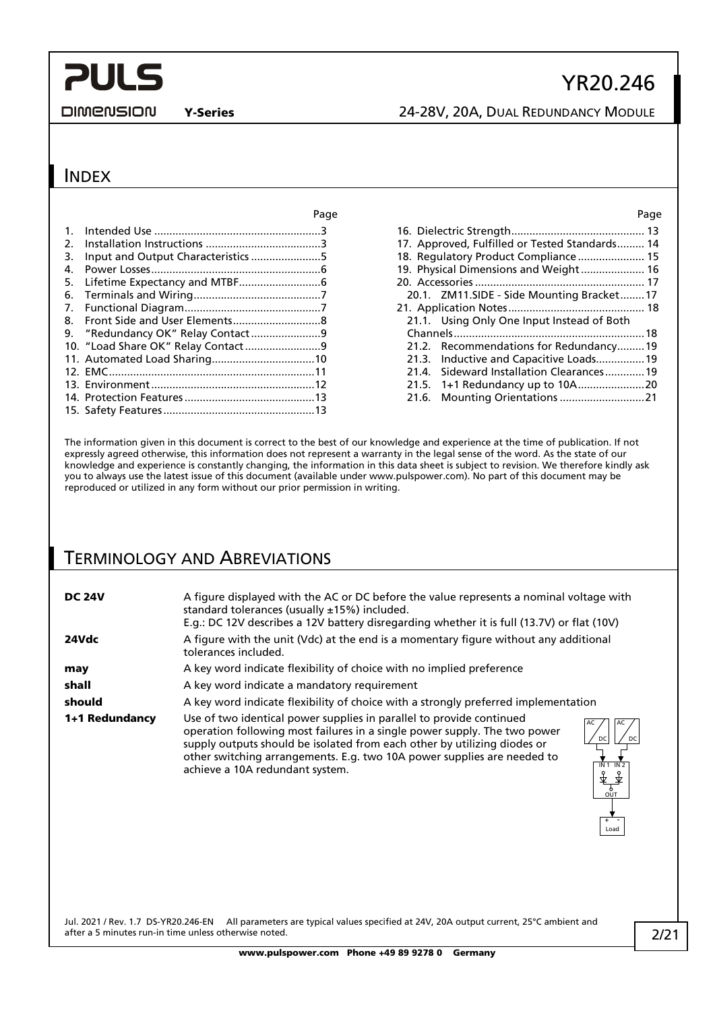#### **DIMENSION**

## Y-Series 24-28V, 20A, DUAL REDUNDANCY MODULE

YR20.246

### **INDEX**

| ı uy                               |
|------------------------------------|
|                                    |
|                                    |
|                                    |
|                                    |
|                                    |
|                                    |
|                                    |
|                                    |
|                                    |
|                                    |
|                                    |
|                                    |
|                                    |
|                                    |
|                                    |
| Input and Output Characteristics 5 |

| Page  | Page                                           |
|-------|------------------------------------------------|
| . . 3 |                                                |
| . . 3 | 17. Approved, Fulfilled or Tested Standards 14 |
| . 5   | 18. Regulatory Product Compliance 15           |
| . . 6 | 19. Physical Dimensions and Weight 16          |
| 6     |                                                |
| 7     | 20.1. ZM11.SIDE - Side Mounting Bracket17      |
| 7     |                                                |
| . . 8 | 21.1. Using Only One Input Instead of Both     |
| . . 9 |                                                |
| . . 9 | 21.2. Recommendations for Redundancy19         |
| .10   | 21.3. Inductive and Capacitive Loads 19        |
| .11   | 21.4. Sideward Installation Clearances 19      |
| .12   |                                                |
| .13   |                                                |
|       |                                                |

The information given in this document is correct to the best of our knowledge and experience at the time of publication. If not expressly agreed otherwise, this information does not represent a warranty in the legal sense of the word. As the state of our knowledge and experience is constantly changing, the information in this data sheet is subject to revision. We therefore kindly ask you to always use the latest issue of this document (available under www.pulspower.com). No part of this document may be reproduced or utilized in any form without our prior permission in writing.

### TERMINOLOGY AND ABREVIATIONS

| A figure displayed with the AC or DC before the value represents a nominal voltage with<br>standard tolerances (usually ±15%) included.<br>E.g.: DC 12V describes a 12V battery disregarding whether it is full (13.7V) or flat (10V)                                                                                                                                                                       |  |  |
|-------------------------------------------------------------------------------------------------------------------------------------------------------------------------------------------------------------------------------------------------------------------------------------------------------------------------------------------------------------------------------------------------------------|--|--|
| A figure with the unit (Vdc) at the end is a momentary figure without any additional<br>tolerances included.                                                                                                                                                                                                                                                                                                |  |  |
| A key word indicate flexibility of choice with no implied preference                                                                                                                                                                                                                                                                                                                                        |  |  |
| A key word indicate a mandatory requirement                                                                                                                                                                                                                                                                                                                                                                 |  |  |
| A key word indicate flexibility of choice with a strongly preferred implementation                                                                                                                                                                                                                                                                                                                          |  |  |
| Use of two identical power supplies in parallel to provide continued<br>operation following most failures in a single power supply. The two power<br>DC<br>supply outputs should be isolated from each other by utilizing diodes or<br>other switching arrangements. E.g. two 10A power supplies are needed to<br>IN <sub>2</sub><br>IN 1<br>achieve a 10A redundant system.<br><sup>6</sup><br>OUT<br>Load |  |  |
|                                                                                                                                                                                                                                                                                                                                                                                                             |  |  |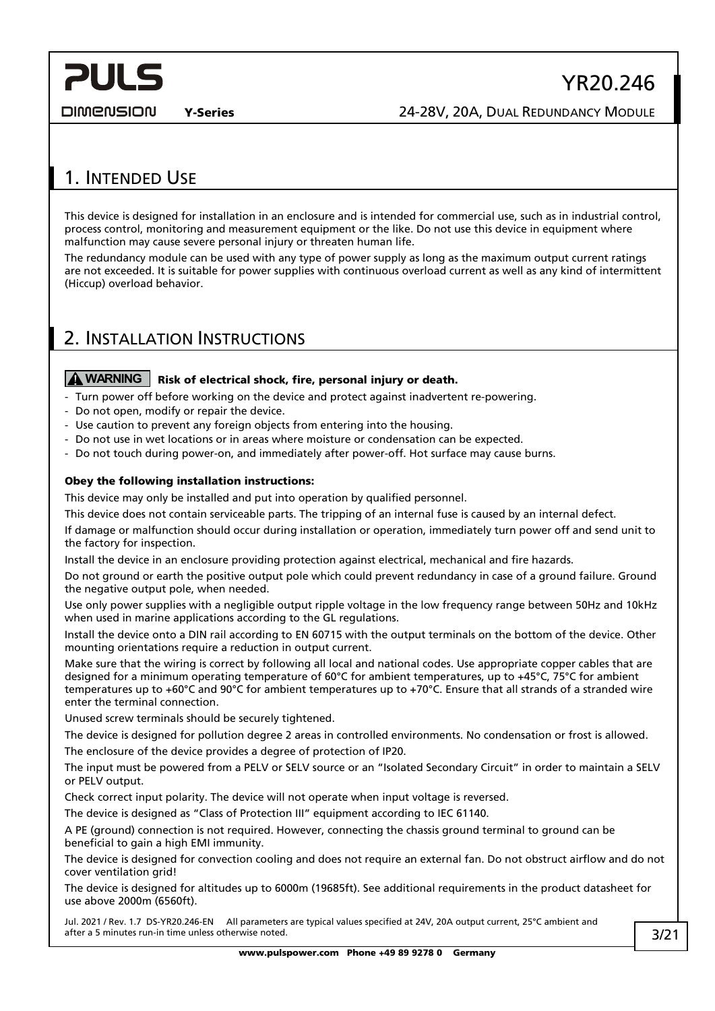DIMENSION

### <span id="page-2-0"></span>1. INTENDED USE

This device is designed for installation in an enclosure and is intended for commercial use, such as in industrial control, process control, monitoring and measurement equipment or the like. Do not use this device in equipment where malfunction may cause severe personal injury or threaten human life.

The redundancy module can be used with any type of power supply as long as the maximum output current ratings are not exceeded. It is suitable for power supplies with continuous overload current as well as any kind of intermittent (Hiccup) overload behavior.

### <span id="page-2-1"></span>2. INSTALLATION INSTRUCTIONS

### **A** WARNING | Risk of electrical shock, fire, personal injury or death.

- Turn power off before working on the device and protect against inadvertent re-powering.
- Do not open, modify or repair the device.
- Use caution to prevent any foreign objects from entering into the housing.
- Do not use in wet locations or in areas where moisture or condensation can be expected.
- Do not touch during power-on, and immediately after power-off. Hot surface may cause burns.

### Obey the following installation instructions:

This device may only be installed and put into operation by qualified personnel.

This device does not contain serviceable parts. The tripping of an internal fuse is caused by an internal defect.

If damage or malfunction should occur during installation or operation, immediately turn power off and send unit to the factory for inspection.

Install the device in an enclosure providing protection against electrical, mechanical and fire hazards.

Do not ground or earth the positive output pole which could prevent redundancy in case of a ground failure. Ground the negative output pole, when needed.

Use only power supplies with a negligible output ripple voltage in the low frequency range between 50Hz and 10kHz when used in marine applications according to the GL regulations.

Install the device onto a DIN rail according to EN 60715 with the output terminals on the bottom of the device. Other mounting orientations require a reduction in output current.

Make sure that the wiring is correct by following all local and national codes. Use appropriate copper cables that are designed for a minimum operating temperature of 60°C for ambient temperatures, up to +45°C, 75°C for ambient temperatures up to +60°C and 90°C for ambient temperatures up to +70°C. Ensure that all strands of a stranded wire enter the terminal connection.

Unused screw terminals should be securely tightened.

The device is designed for pollution degree 2 areas in controlled environments. No condensation or frost is allowed. The enclosure of the device provides a degree of protection of IP20.

The input must be powered from a PELV or SELV source or an "Isolated Secondary Circuit" in order to maintain a SELV or PELV output.

Check correct input polarity. The device will not operate when input voltage is reversed.

The device is designed as "Class of Protection III" equipment according to IEC 61140.

A PE (ground) connection is not required. However, connecting the chassis ground terminal to ground can be beneficial to gain a high EMI immunity.

The device is designed for convection cooling and does not require an external fan. Do not obstruct airflow and do not cover ventilation grid!

The device is designed for altitudes up to 6000m (19685ft). See additional requirements in the product datasheet for use above 2000m (6560ft).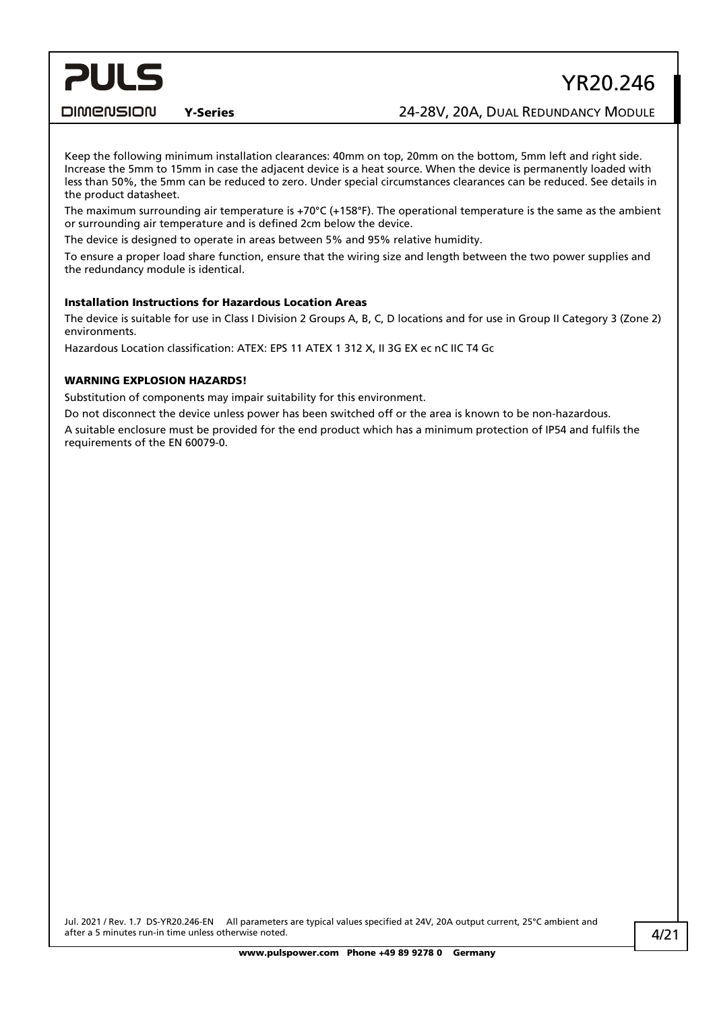## YR20.246

DIMENSION

### Y-Series 24-28V, 20A, DUAL REDUNDANCY MODULE

Keep the following minimum installation clearances: 40mm on top, 20mm on the bottom, 5mm left and right side. Increase the 5mm to 15mm in case the adjacent device is a heat source. When the device is permanently loaded with less than 50%, the 5mm can be reduced to zero. Under special circumstances clearances can be reduced. See details in the product datasheet.

The maximum surrounding air temperature is +70°C (+158°F). The operational temperature is the same as the ambient or surrounding air temperature and is defined 2cm below the device.

The device is designed to operate in areas between 5% and 95% relative humidity.

To ensure a proper load share function, ensure that the wiring size and length between the two power supplies and the redundancy module is identical.

### Installation Instructions for Hazardous Location Areas

The device is suitable for use in Class I Division 2 Groups A, B, C, D locations and for use in Group II Category 3 (Zone 2) environments.

Hazardous Location classification: ATEX: EPS 11 ATEX 1 312 X, II 3G EX ec nC IIC T4 Gc

### WARNING EXPLOSION HAZARDS!

Substitution of components may impair suitability for this environment.

Do not disconnect the device unless power has been switched off or the area is known to be non-hazardous.

A suitable enclosure must be provided for the end product which has a minimum protection of IP54 and fulfils the requirements of the EN 60079-0.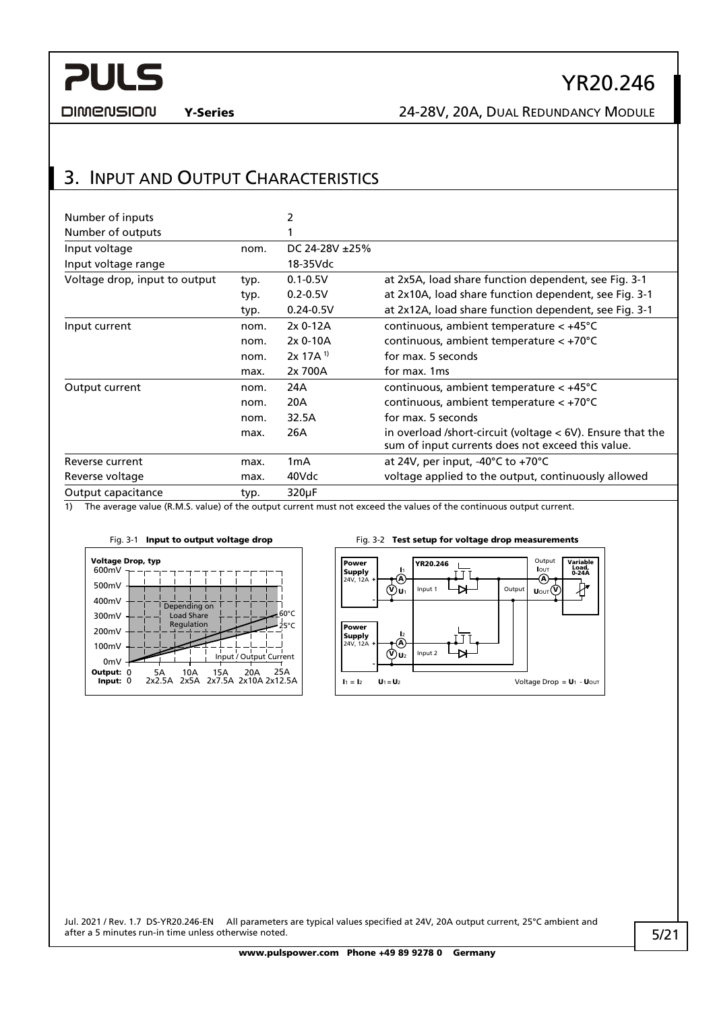

**DIMENSION** 

Y-Series 24-28V, 20A, DUAL REDUNDANCY MODULE

### <span id="page-4-0"></span>3. INPUT AND OUTPUT CHARACTERISTICS

| Number of inputs              |      | 2                   |                                                                                                                   |
|-------------------------------|------|---------------------|-------------------------------------------------------------------------------------------------------------------|
| Number of outputs             |      |                     |                                                                                                                   |
| Input voltage                 | nom. | DC 24-28V $\pm$ 25% |                                                                                                                   |
| Input voltage range           |      | 18-35Vdc            |                                                                                                                   |
| Voltage drop, input to output | typ. | $0.1 - 0.5V$        | at 2x5A, load share function dependent, see Fig. 3-1                                                              |
|                               | typ. | $0.2 - 0.5V$        | at 2x10A, load share function dependent, see Fig. 3-1                                                             |
|                               | typ. | $0.24 - 0.5V$       | at 2x12A, load share function dependent, see Fig. 3-1                                                             |
| Input current                 | nom. | 2x 0-12A            | continuous, ambient temperature $< +45^{\circ}$ C                                                                 |
|                               | nom. | 2x 0-10A            | continuous, ambient temperature $< +70^{\circ}$ C                                                                 |
|                               | nom. | $2x 17A^{1}$        | for max. 5 seconds                                                                                                |
|                               | max. | 2x 700A             | for max. 1ms                                                                                                      |
| Output current                | nom. | 24A                 | continuous, ambient temperature < +45°C                                                                           |
|                               | nom. | 20A                 | continuous, ambient temperature $< +70^{\circ}$ C                                                                 |
|                               | nom. | 32.5A               | for max. 5 seconds                                                                                                |
|                               | max. | 26A                 | in overload /short-circuit (voltage $<$ 6V). Ensure that the<br>sum of input currents does not exceed this value. |
| Reverse current               | max. | 1mA                 | at 24V, per input, $-40^{\circ}$ C to $+70^{\circ}$ C                                                             |
| Reverse voltage               | max. | 40Vdc               | voltage applied to the output, continuously allowed                                                               |
| Output capacitance            | typ. | 320µF               |                                                                                                                   |

1) The average value (R.M.S. value) of the output current must not exceed the values of the continuous output current.

<span id="page-4-1"></span>

**Output Power** YR20.246 Variable Load, 0-24A lout<br>⊣(A) lı<br>A **Supply**<br>24V, 12A + TΤ 护 Input 1 ₩ Outp V) u1 UOUT<sup>(V</sup> - Power l<sub>2</sub><br>A **Supply**<br>24V, 12A +  $\mathbf{I}$ Input 2 ₩ V U2 - $I_1 = I_2$   $U_1 = U_2$  Voltage Drop =  $U_1$  -  $U_{\text{OUT}}$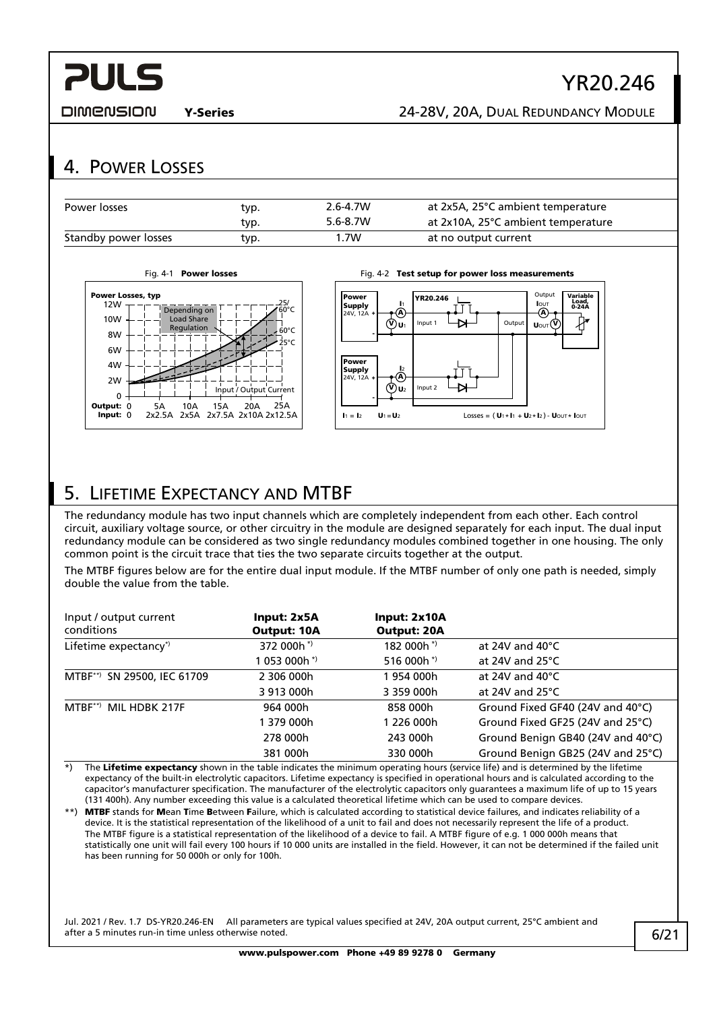

DIMENSION

### Y-Series 24-28V, 20A, DUAL REDUNDANCY MODULE

### <span id="page-5-0"></span>4. POWER LOSSES

| Power losses         | typ. | $2.6 - 4.7W$ | at 2x5A, 25°C ambient temperature  |
|----------------------|------|--------------|------------------------------------|
|                      | typ. | $5.6 - 8.7W$ | at 2x10A, 25°C ambient temperature |
| Standby power losses | typ. | .7W          | at no output current               |





## <span id="page-5-1"></span>5. LIFETIME EXPECTANCY AND MTBF

The redundancy module has two input channels which are completely independent from each other. Each control circuit, auxiliary voltage source, or other circuitry in the module are designed separately for each input. The dual input redundancy module can be considered as two single redundancy modules combined together in one housing. The only common point is the circuit trace that ties the two separate circuits together at the output.

The MTBF figures below are for the entire dual input module. If the MTBF number of only one path is needed, simply double the value from the table.

| Input / output current<br>conditions | Input: 2x5A<br><b>Output: 10A</b> | Input: 2x10A<br><b>Output: 20A</b> |                                   |
|--------------------------------------|-----------------------------------|------------------------------------|-----------------------------------|
| Lifetime expectancy*)                | 372 000h <sup>*</sup>             | 182 000h*)                         | at 24V and $40^{\circ}$ C         |
|                                      | 1 053 000h * <sup>)</sup>         | 516 000h*)                         | at 24V and $25^{\circ}$ C         |
| MTBF**) SN 29500, IEC 61709          | 2 306 000h                        | 1 954 000h                         | at 24V and $40^{\circ}$ C         |
|                                      | 3 913 000h                        | 3 359 000h                         | at 24V and $25^{\circ}$ C         |
| MTBF**) MIL HDBK 217F                | 964 000h                          | 858 000h                           | Ground Fixed GF40 (24V and 40°C)  |
|                                      | 1 379 000h                        | 1 226 000h                         | Ground Fixed GF25 (24V and 25°C)  |
|                                      | 278 000h                          | 243 000h                           | Ground Benign GB40 (24V and 40°C) |
|                                      | 381 000h                          | 330 000h                           | Ground Benign GB25 (24V and 25°C) |

\*) The Lifetime expectancy shown in the table indicates the minimum operating hours (service life) and is determined by the lifetime expectancy of the built-in electrolytic capacitors. Lifetime expectancy is specified in operational hours and is calculated according to the capacitor's manufacturer specification. The manufacturer of the electrolytic capacitors only guarantees a maximum life of up to 15 years (131 400h). Any number exceeding this value is a calculated theoretical lifetime which can be used to compare devices.

\*\*) MTBF stands for Mean Time Between Failure, which is calculated according to statistical device failures, and indicates reliability of a device. It is the statistical representation of the likelihood of a unit to fail and does not necessarily represent the life of a product. The MTBF figure is a statistical representation of the likelihood of a device to fail. A MTBF figure of e.g. 1 000 000h means that statistically one unit will fail every 100 hours if 10 000 units are installed in the field. However, it can not be determined if the failed unit has been running for 50 000h or only for 100h.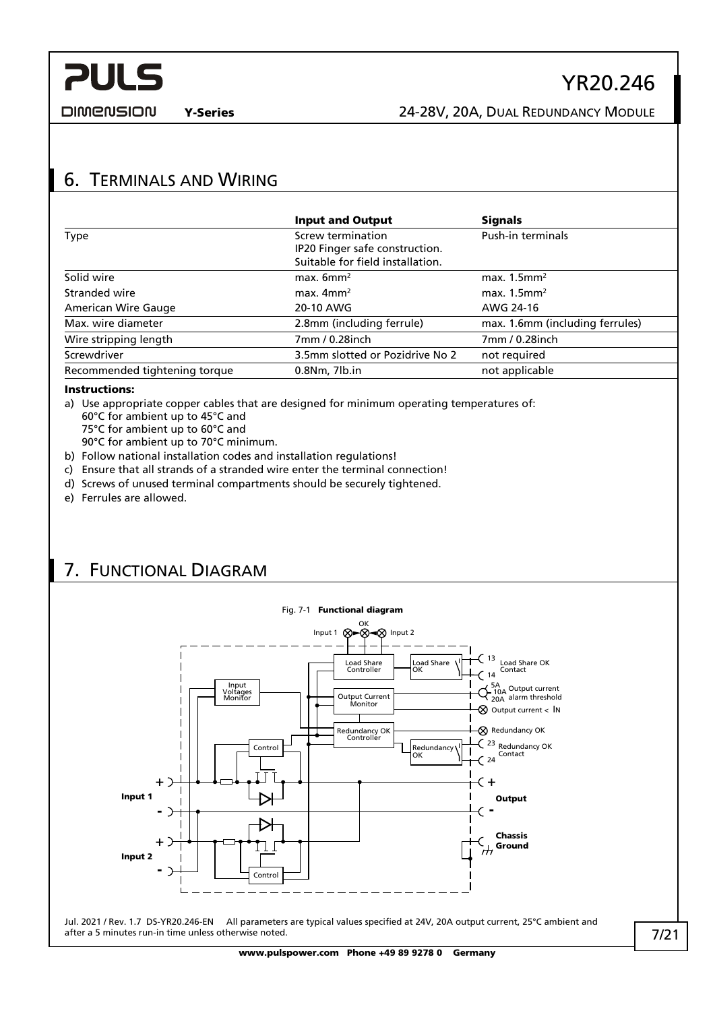

**DIMENSION** 

Y-Series 24-28V, 20A, DUAL REDUNDANCY MODULE

## <span id="page-6-0"></span>6. TERMINALS AND WIRING

|                               | <b>Input and Output</b>                                                                 | <b>Signals</b>                  |
|-------------------------------|-----------------------------------------------------------------------------------------|---------------------------------|
| Type                          | Screw termination<br>IP20 Finger safe construction.<br>Suitable for field installation. | Push-in terminals               |
| Solid wire                    | max. $6mm^2$                                                                            | max. $1.5$ mm <sup>2</sup>      |
| Stranded wire                 | max. $4mm2$                                                                             | max. $1.5$ mm <sup>2</sup>      |
| American Wire Gauge           | 20-10 AWG                                                                               | AWG 24-16                       |
| Max. wire diameter            | 2.8mm (including ferrule)                                                               | max. 1.6mm (including ferrules) |
| Wire stripping length         | 7mm / 0.28inch                                                                          | 7mm / 0.28inch                  |
| Screwdriver                   | 3.5mm slotted or Pozidrive No 2                                                         | not required                    |
| Recommended tightening torque | $0.8$ Nm, $7$ lb.in                                                                     | not applicable                  |

### Instructions:

- a) Use appropriate copper cables that are designed for minimum operating temperatures of: 60°C for ambient up to 45°C and
	- 75°C for ambient up to 60°C and
	- 90°C for ambient up to 70°C minimum.
- b) Follow national installation codes and installation regulations!
- c) Ensure that all strands of a stranded wire enter the terminal connection!
- d) Screws of unused terminal compartments should be securely tightened.
- e) Ferrules are allowed.

## <span id="page-6-1"></span>7. FUNCTIONAL DIAGRAM

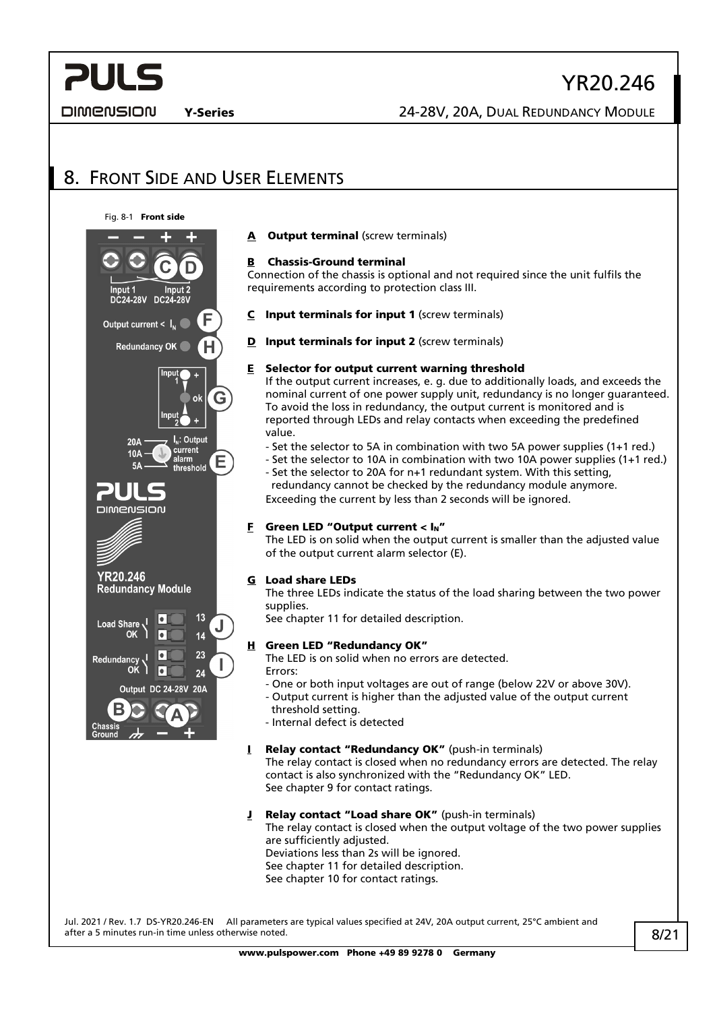### DIMENSION

## YR20.246

Y-Series 24-28V, 20A, DUAL REDUNDANCY MODULE

## <span id="page-7-0"></span>8. FRONT SIDE AND USER ELEMENTS





- A Output terminal (screw terminals)
- B Chassis-Ground terminal

Connection of the chassis is optional and not required since the unit fulfils the requirements according to protection class III.

- $C$  Input terminals for input 1 (screw terminals)
- **D** Input terminals for input 2 (screw terminals)

#### $E$  Selector for output current warning threshold

If the output current increases, e. g. due to additionally loads, and exceeds the nominal current of one power supply unit, redundancy is no longer guaranteed. To avoid the loss in redundancy, the output current is monitored and is reported through LEDs and relay contacts when exceeding the predefined value.

- Set the selector to 5A in combination with two 5A power supplies (1+1 red.)
- Set the selector to 10A in combination with two 10A power supplies (1+1 red.) - Set the selector to 20A for n+1 redundant system. With this setting, redundancy cannot be checked by the redundancy module anymore.

Exceeding the current by less than 2 seconds will be ignored.

### **F** Green LED "Output current <  $I_N$ "

The LED is on solid when the output current is smaller than the adjusted value of the output current alarm selector (E).

#### G Load share LEDs

The three LEDs indicate the status of the load sharing between the two power supplies.

See chapte[r 11](#page-9-0) for detailed description.

#### H Green LED "Redundancy OK"

The LED is on solid when no errors are detected. Errors:

- One or both input voltages are out of range (below 22V or above 30V).
- Output current is higher than the adjusted value of the output current threshold setting.
- Internal defect is detected

#### I Relay contact "Redundancy OK" (push-in terminals)

The relay contact is closed when no redundancy errors are detected. The relay contact is also synchronized with the "Redundancy OK" LED. See chapter [9](#page-8-0) for contact ratings.

#### J Relay contact "Load share OK" (push-in terminals)

The relay contact is closed when the output voltage of the two power supplies are sufficiently adjusted.

Deviations less than 2s will be ignored.

See chapte[r 11](#page-9-0) for detailed description.

See chapter [10](#page-8-1) for contact ratings.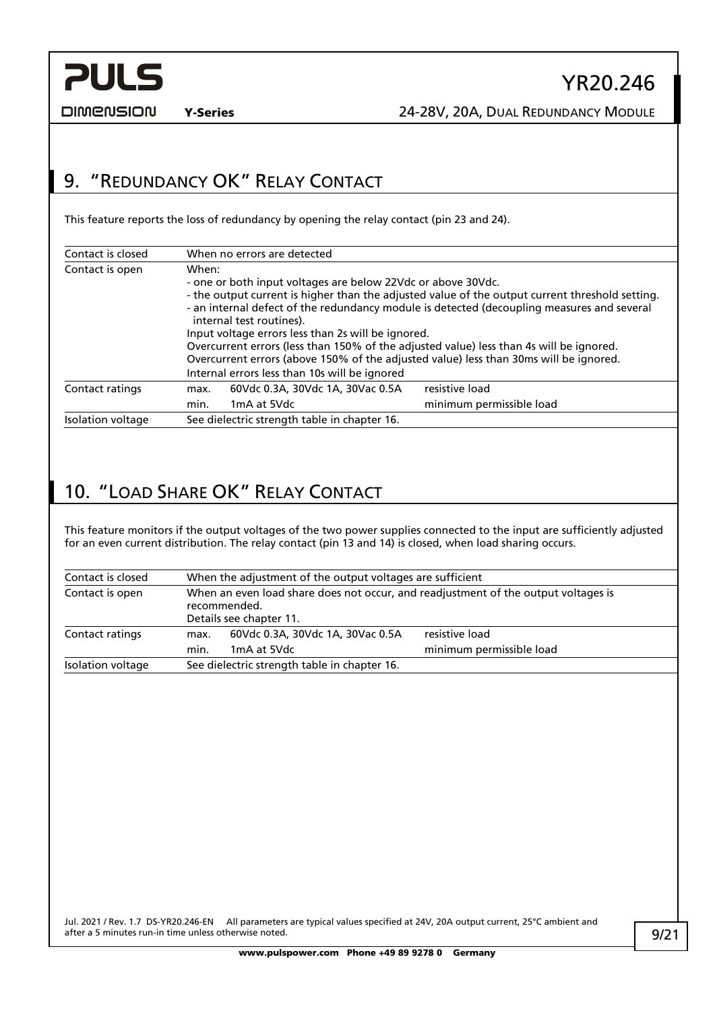

**DIMENSION** 

## <span id="page-8-0"></span>9. "REDUNDANCY OK" RELAY CONTACT

This feature reports the loss of redundancy by opening the relay contact (pin 23 and 24).

| Contact is closed | When no errors are detected                                                                                                                                                                                                                                                                                                                                                                                                                                                                                                                                                                   |
|-------------------|-----------------------------------------------------------------------------------------------------------------------------------------------------------------------------------------------------------------------------------------------------------------------------------------------------------------------------------------------------------------------------------------------------------------------------------------------------------------------------------------------------------------------------------------------------------------------------------------------|
| Contact is open   | When:<br>- one or both input voltages are below 22Vdc or above 30Vdc.<br>- the output current is higher than the adjusted value of the output current threshold setting.<br>- an internal defect of the redundancy module is detected (decoupling measures and several<br>internal test routines).<br>Input voltage errors less than 2s will be ignored.<br>Overcurrent errors (less than 150% of the adjusted value) less than 4s will be ignored.<br>Overcurrent errors (above 150% of the adjusted value) less than 30ms will be ignored.<br>Internal errors less than 10s will be ignored |
| Contact ratings   | resistive load<br>60Vdc 0.3A, 30Vdc 1A, 30Vac 0.5A<br>max.<br>minimum permissible load<br>1mA at 5Vdc<br>min.                                                                                                                                                                                                                                                                                                                                                                                                                                                                                 |
| Isolation voltage | See dielectric strength table in chapter 16.                                                                                                                                                                                                                                                                                                                                                                                                                                                                                                                                                  |

## <span id="page-8-1"></span>10. "LOAD SHARE OK" RELAY CONTACT

This feature monitors if the output voltages of the two power supplies connected to the input are sufficiently adjusted for an even current distribution. The relay contact (pin 13 and 14) is closed, when load sharing occurs.

| Contact is closed | When the adjustment of the output voltages are sufficient                                                                     |                                                 |                                            |  |
|-------------------|-------------------------------------------------------------------------------------------------------------------------------|-------------------------------------------------|--------------------------------------------|--|
| Contact is open   | When an even load share does not occur, and readjustment of the output voltages is<br>recommended.<br>Details see chapter 11. |                                                 |                                            |  |
| Contact ratings   | max.<br>min.                                                                                                                  | 60Vdc 0.3A, 30Vdc 1A, 30Vac 0.5A<br>1mA at 5Vdc | resistive load<br>minimum permissible load |  |
| Isolation voltage | See dielectric strength table in chapter 16.                                                                                  |                                                 |                                            |  |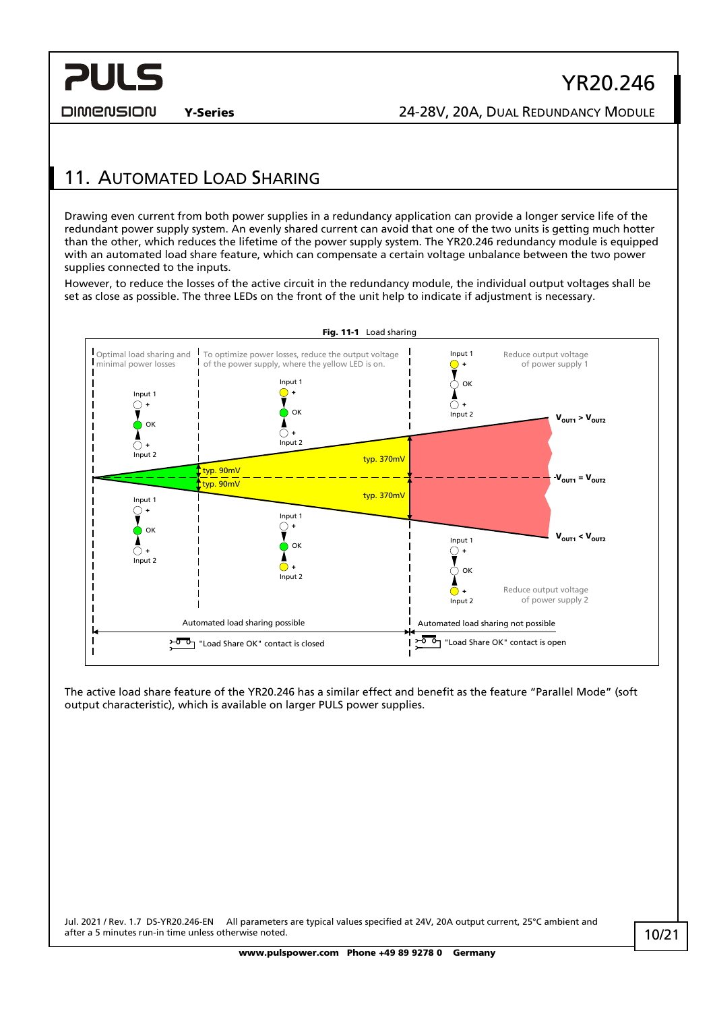DIMENSION

## <span id="page-9-0"></span>11. AUTOMATED LOAD SHARING

Drawing even current from both power supplies in a redundancy application can provide a longer service life of the redundant power supply system. An evenly shared current can avoid that one of the two units is getting much hotter than the other, which reduces the lifetime of the power supply system. The YR20.246 redundancy module is equipped with an automated load share feature, which can compensate a certain voltage unbalance between the two power supplies connected to the inputs.

However, to reduce the losses of the active circuit in the redundancy module, the individual output voltages shall be set as close as possible. The three LEDs on the front of the unit help to indicate if adjustment is necessary.



The active load share feature of the YR20.246 has a similar effect and benefit as the feature "Parallel Mode" (soft output characteristic), which is available on larger PULS power supplies.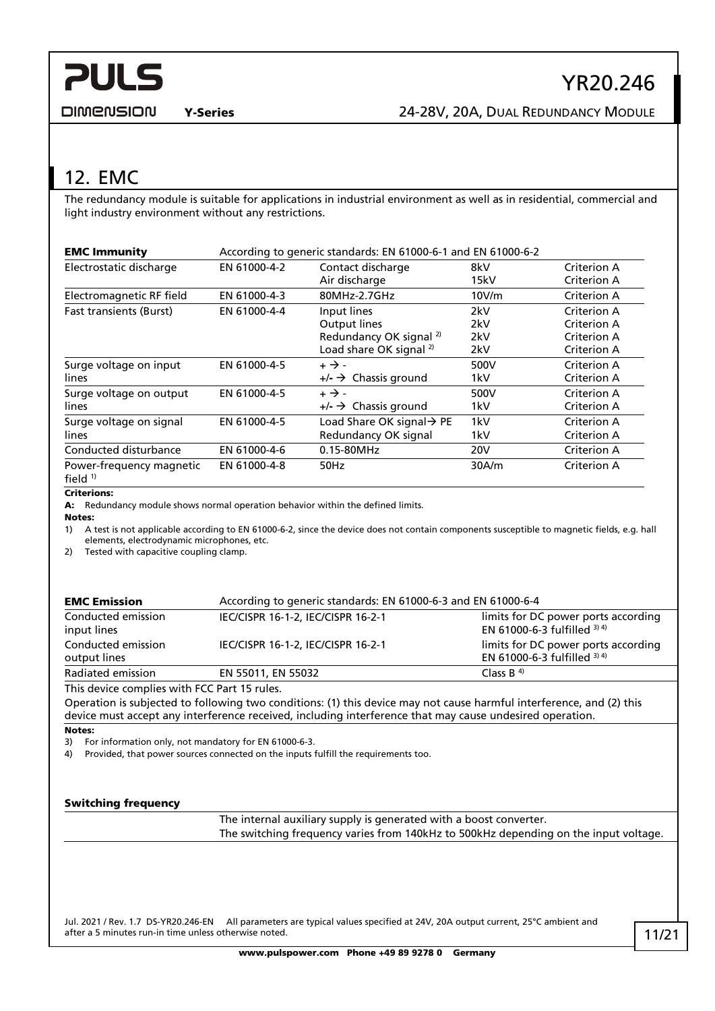## <span id="page-10-0"></span>12. EMC

The redundancy module is suitable for applications in industrial environment as well as in residential, commercial and light industry environment without any restrictions.

| <b>EMC Immunity</b>                   | According to generic standards: EN 61000-6-1 and EN 61000-6-2 |                                                                                                                |                          |                                                          |
|---------------------------------------|---------------------------------------------------------------|----------------------------------------------------------------------------------------------------------------|--------------------------|----------------------------------------------------------|
| Electrostatic discharge               | EN 61000-4-2                                                  | Contact discharge<br>Air discharge                                                                             | 8kV<br>15kV              | Criterion A<br>Criterion A                               |
| Electromagnetic RF field              | EN 61000-4-3                                                  | 80MHz-2.7GHz                                                                                                   | 10V/m                    | Criterion A                                              |
| <b>Fast transients (Burst)</b>        | EN 61000-4-4                                                  | Input lines<br><b>Output lines</b><br>Redundancy OK signal <sup>2)</sup><br>Load share OK signal <sup>2)</sup> | 2kV<br>2kV<br>2kV<br>2kV | Criterion A<br>Criterion A<br>Criterion A<br>Criterion A |
| Surge voltage on input<br>lines       | EN 61000-4-5                                                  | $+ \rightarrow -$<br>$+/ \rightarrow$ Chassis ground                                                           | 500V<br>1kV              | Criterion A<br>Criterion A                               |
| Surge voltage on output<br>lines      | EN 61000-4-5                                                  | $+ \rightarrow -$<br>$+/ \rightarrow$ Chassis ground                                                           | 500V<br>1kV              | Criterion A<br>Criterion A                               |
| Surge voltage on signal<br>lines      | EN 61000-4-5                                                  | Load Share OK signal $\rightarrow$ PE<br>Redundancy OK signal                                                  | 1kV<br>1kV               | Criterion A<br>Criterion A                               |
| Conducted disturbance                 | EN 61000-4-6                                                  | 0.15-80MHz                                                                                                     | 20V                      | Criterion A                                              |
| Power-frequency magnetic<br>field $1$ | EN 61000-4-8                                                  | 50Hz                                                                                                           | 30A/m                    | Criterion A                                              |

#### Criterions:

A: Redundancy module shows normal operation behavior within the defined limits.

Notes:

1) A test is not applicable according to EN 61000-6-2, since the device does not contain components susceptible to magnetic fields, e.g. hall elements, electrodynamic microphones, etc.

2) Tested with capacitive coupling clamp.

| <b>EMC Emission</b>                          | According to generic standards: EN 61000-6-3 and EN 61000-6-4 |                                                                     |  |
|----------------------------------------------|---------------------------------------------------------------|---------------------------------------------------------------------|--|
| Conducted emission<br>input lines            | IEC/CISPR 16-1-2, IEC/CISPR 16-2-1                            | limits for DC power ports according<br>EN 61000-6-3 fulfilled 3) 4) |  |
| Conducted emission<br>output lines           | IEC/CISPR 16-1-2, IEC/CISPR 16-2-1                            | limits for DC power ports according<br>EN 61000-6-3 fulfilled 3) 4) |  |
| Radiated emission                            | EN 55011, EN 55032                                            | Class B $4$                                                         |  |
| This device complies with FCC Part 15 rules. |                                                               |                                                                     |  |

This device complies with FCC Part 15 rules.

Operation is subjected to following two conditions: (1) this device may not cause harmful interference, and (2) this device must accept any interference received, including interference that may cause undesired operation.

#### Notes:

3) For information only, not mandatory for EN 61000-6-3.

4) Provided, that power sources connected on the inputs fulfill the requirements too.

#### Switching frequency

The internal auxiliary supply is generated with a boost converter. The switching frequency varies from 140kHz to 500kHz depending on the input voltage.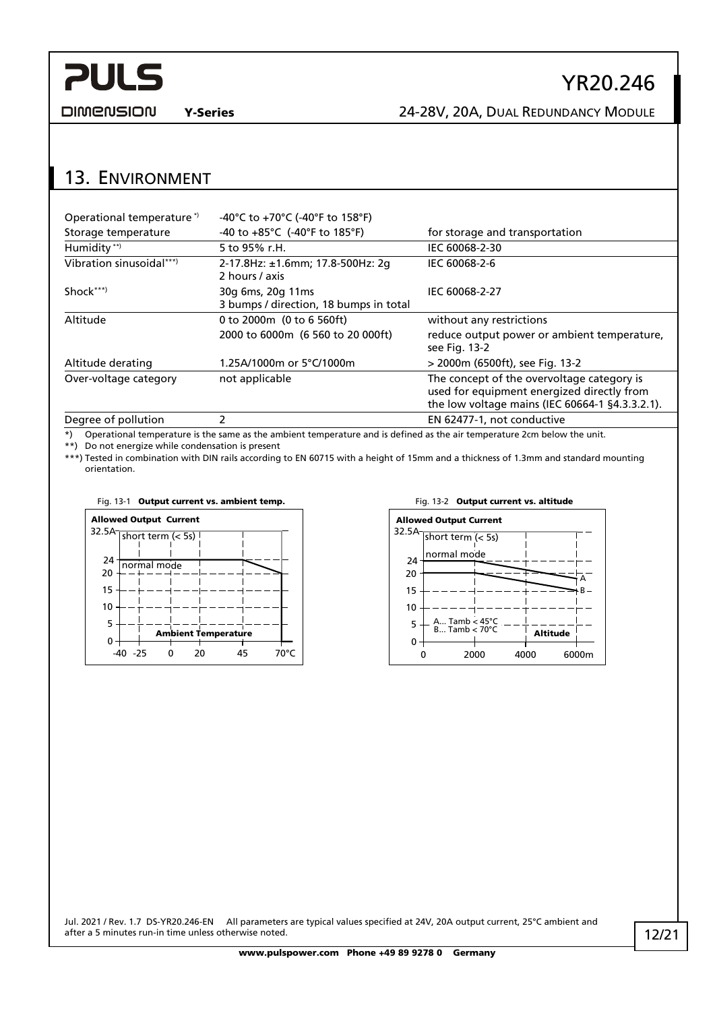

**DIMENSION** 

## Y-Series 24-28V, 20A, DUAL REDUNDANCY MODULE

YR20.246

### <span id="page-11-0"></span>13. ENVIRONMENT

| Operational temperature*) | -40°C to +70°C (-40°F to 158°F)                                     |                                                                                                                                             |
|---------------------------|---------------------------------------------------------------------|---------------------------------------------------------------------------------------------------------------------------------------------|
| Storage temperature       | -40 to $+85^{\circ}$ C (-40°F to 185°F)                             | for storage and transportation                                                                                                              |
| Humidity **)              | 5 to 95% r.H.                                                       | IEC 60068-2-30                                                                                                                              |
| Vibration sinusoidal***)  | 2-17.8Hz: ±1.6mm; 17.8-500Hz: 2q<br>IEC 60068-2-6<br>2 hours / axis |                                                                                                                                             |
| Shock***)                 | 30g 6ms, 20g 11ms<br>3 bumps / direction, 18 bumps in total         | IEC 60068-2-27                                                                                                                              |
| Altitude                  | 0 to 2000m (0 to 6 560ft)                                           | without any restrictions                                                                                                                    |
|                           | 2000 to 6000m (6 560 to 20 000ft)                                   | reduce output power or ambient temperature,<br>see Fig. 13-2                                                                                |
| Altitude derating         | 1.25A/1000m or 5°C/1000m                                            | > 2000m (6500ft), see Fig. 13-2                                                                                                             |
| Over-voltage category     | not applicable                                                      | The concept of the overvoltage category is<br>used for equipment energized directly from<br>the low voltage mains (IEC 60664-1 §4.3.3.2.1). |
| Dogram of pollution       | ำ                                                                   | $ENCD177.1$ not conductive                                                                                                                  |

Degree of pollution 2 2 and 2 EN 62477-1, not conductive \*) Operational temperature is the same as the ambient temperature and is defined as the air temperature 2cm below the unit.

\*\*) Do not energize while condensation is present

\*\*\*) Tested in combination with DIN rails according to EN 60715 with a height of 15mm and a thickness of 1.3mm and standard mounting orientation.



#### Fig. 13-1 Output current vs. ambient temp. Fig. 13-2 Output current vs. altitude

<span id="page-11-1"></span>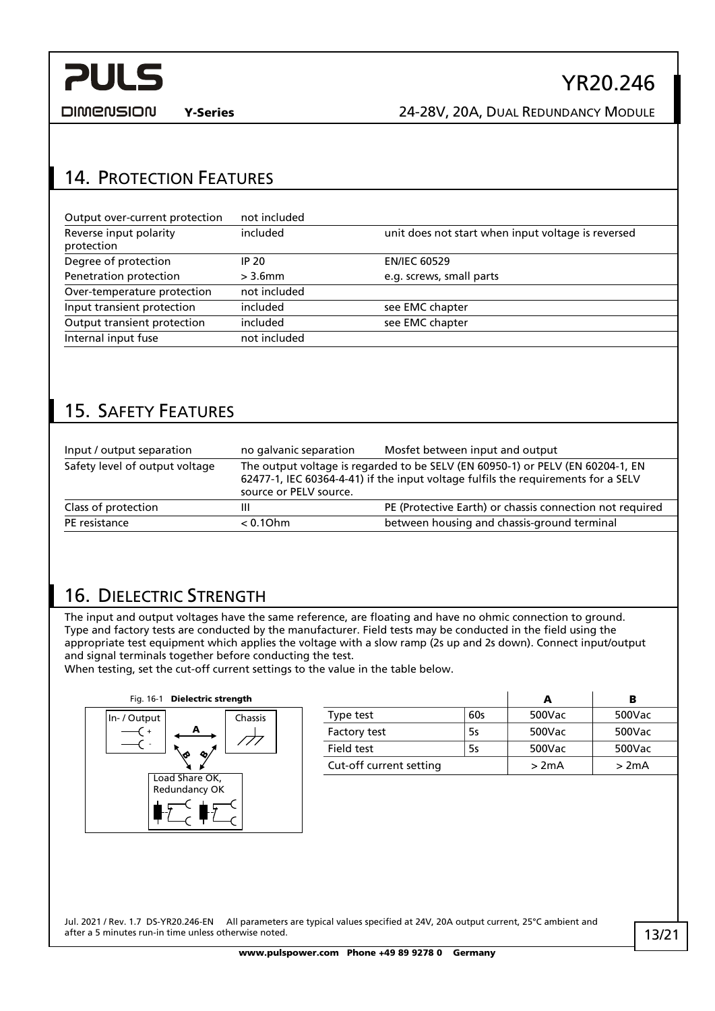

**DIMENSION** 

Y-Series 24-28V, 20A, DUAL REDUNDANCY MODULE

## <span id="page-12-0"></span>14. PROTECTION FEATURES

| Output over-current protection       | not included |                                                    |
|--------------------------------------|--------------|----------------------------------------------------|
| Reverse input polarity<br>protection | included     | unit does not start when input voltage is reversed |
| Degree of protection                 | IP 20        | <b>EN/IEC 60529</b>                                |
| Penetration protection               | $>$ 3.6mm    | e.g. screws, small parts                           |
| Over-temperature protection          | not included |                                                    |
| Input transient protection           | included     | see EMC chapter                                    |
| Output transient protection          | included     | see EMC chapter                                    |
| Internal input fuse                  | not included |                                                    |

## <span id="page-12-1"></span>15. SAFETY FEATURES

| Input / output separation      | no galvanic separation                                                                                                                                                                        | Mosfet between input and output                          |
|--------------------------------|-----------------------------------------------------------------------------------------------------------------------------------------------------------------------------------------------|----------------------------------------------------------|
| Safety level of output voltage | The output voltage is regarded to be SELV (EN 60950-1) or PELV (EN 60204-1, EN<br>62477-1, IEC 60364-4-41) if the input voltage fulfils the requirements for a SELV<br>source or PELV source. |                                                          |
| Class of protection            | Ш                                                                                                                                                                                             | PE (Protective Earth) or chassis connection not required |
| PE resistance                  | $< 0.10$ hm                                                                                                                                                                                   | between housing and chassis-ground terminal              |

## <span id="page-12-2"></span>16. DIELECTRIC STRENGTH

The input and output voltages have the same reference, are floating and have no ohmic connection to ground. Type and factory tests are conducted by the manufacturer. Field tests may be conducted in the field using the appropriate test equipment which applies the voltage with a slow ramp (2s up and 2s down). Connect input/output and signal terminals together before conducting the test.

When testing, set the cut-off current settings to the value in the table below.



|                         |     | А      | в      |
|-------------------------|-----|--------|--------|
| Type test               | 60s | 500Vac | 500Vac |
| Factory test            | 5s  | 500Vac | 500Vac |
| Field test              | 5s  | 500Vac | 500Vac |
| Cut-off current setting |     | >2mA   | >2mA   |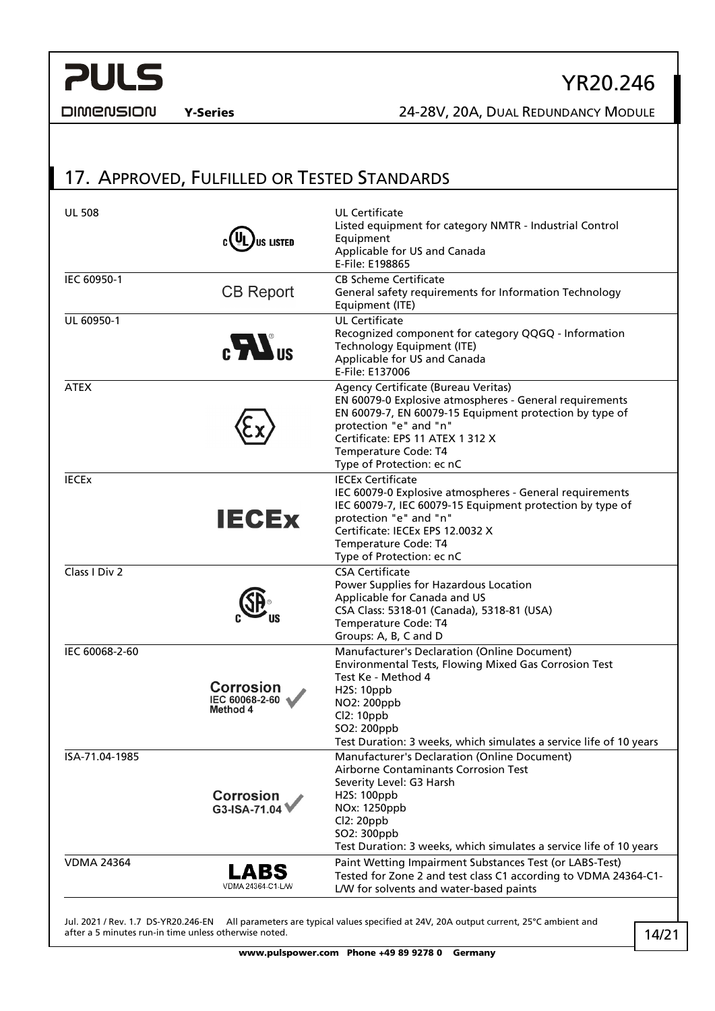

**DIMENSION** 

Y-Series 24-28V, 20A, DUAL REDUNDANCY MODULE

## <span id="page-13-0"></span>17. APPROVED, FULFILLED OR TESTED STANDARDS

| <b>UL 508</b>     | <b>US LISTED</b>                               | <b>UL Certificate</b><br>Listed equipment for category NMTR - Industrial Control<br>Equipment<br>Applicable for US and Canada<br>E-File: E198865                                                                                                                             |
|-------------------|------------------------------------------------|------------------------------------------------------------------------------------------------------------------------------------------------------------------------------------------------------------------------------------------------------------------------------|
| IEC 60950-1       | <b>CB Report</b>                               | <b>CB Scheme Certificate</b><br>General safety requirements for Information Technology<br>Equipment (ITE)                                                                                                                                                                    |
| UL 60950-1        | $\mathbf{M}$ us                                | <b>UL Certificate</b><br>Recognized component for category QQGQ - Information<br>Technology Equipment (ITE)<br>Applicable for US and Canada<br>E-File: E137006                                                                                                               |
| <b>ATEX</b>       |                                                | Agency Certificate (Bureau Veritas)<br>EN 60079-0 Explosive atmospheres - General requirements<br>EN 60079-7, EN 60079-15 Equipment protection by type of<br>protection "e" and "n"<br>Certificate: EPS 11 ATEX 1 312 X<br>Temperature Code: T4<br>Type of Protection: ec nC |
| <b>IECEX</b>      | <b>IECEX</b>                                   | <b>IECEx Certificate</b><br>IEC 60079-0 Explosive atmospheres - General requirements<br>IEC 60079-7, IEC 60079-15 Equipment protection by type of<br>protection "e" and "n"<br>Certificate: IECEx EPS 12.0032 X<br>Temperature Code: T4<br>Type of Protection: ec nC         |
| Class I Div 2     |                                                | <b>CSA Certificate</b><br>Power Supplies for Hazardous Location<br>Applicable for Canada and US<br>CSA Class: 5318-01 (Canada), 5318-81 (USA)<br>Temperature Code: T4<br>Groups: A, B, C and D                                                                               |
| IEC 60068-2-60    | <b>Corrosion</b><br>IEC 60068-2-60<br>Method 4 | Manufacturer's Declaration (Online Document)<br>Environmental Tests, Flowing Mixed Gas Corrosion Test<br>Test Ke - Method 4<br><b>H2S: 10ppb</b><br>NO2: 200ppb<br>Cl2: 10ppb<br>SO2: 200ppb<br>Test Duration: 3 weeks, which simulates a service life of 10 years           |
| ISA-71.04-1985    | <b>Corrosion</b><br>G3-ISA-71.04               | Manufacturer's Declaration (Online Document)<br>Airborne Contaminants Corrosion Test<br>Severity Level: G3 Harsh<br>H2S: 100ppb<br>NOx: 1250ppb<br>Cl2: 20ppb<br>SO2: 300ppb<br>Test Duration: 3 weeks, which simulates a service life of 10 years                           |
| <b>VDMA 24364</b> | LABS<br>VDMA 24364-C1-L/W                      | Paint Wetting Impairment Substances Test (or LABS-Test)<br>Tested for Zone 2 and test class C1 according to VDMA 24364-C1-<br>L/W for solvents and water-based paints                                                                                                        |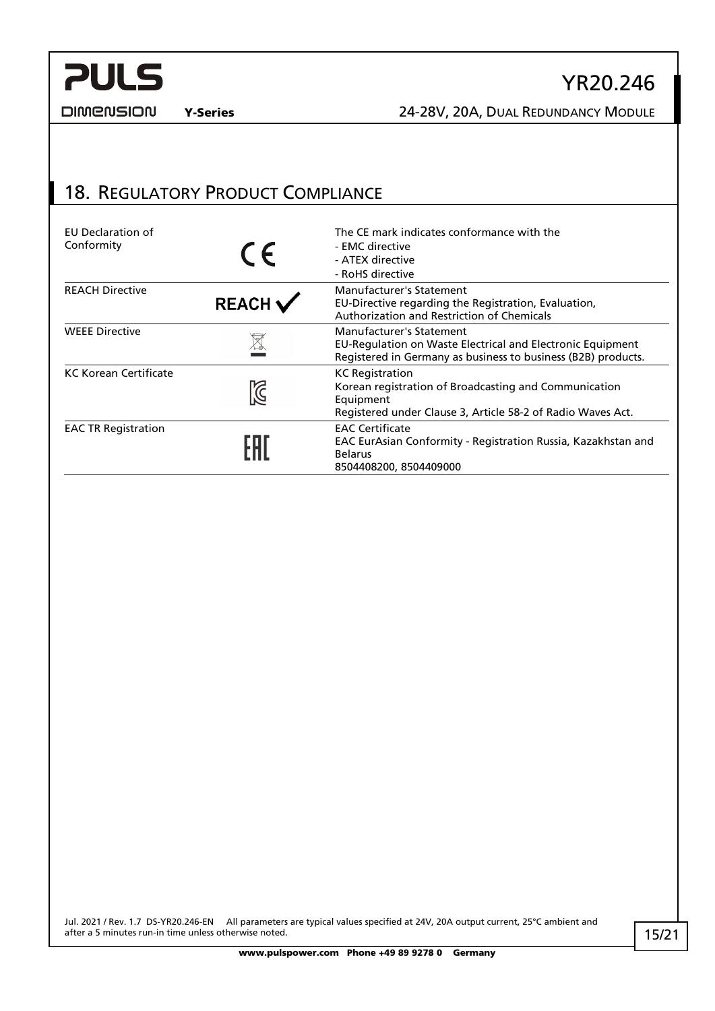**DIMENSION** 

Y-Series 24-28V, 20A, DUAL REDUNDANCY MODULE

YR20.246

### <span id="page-14-0"></span>18. REGULATORY PRODUCT COMPLIANCE

| EU Declaration of<br>Conformity | CE                        | The CE mark indicates conformance with the<br>- EMC directive<br>- ATEX directive<br>- RoHS directive                                                       |
|---------------------------------|---------------------------|-------------------------------------------------------------------------------------------------------------------------------------------------------------|
| <b>REACH Directive</b>          | $REACH \checkmark$        | Manufacturer's Statement<br>EU-Directive regarding the Registration, Evaluation,<br>Authorization and Restriction of Chemicals                              |
| <b>WEEE Directive</b>           | $\cancel{\nabla}$         | Manufacturer's Statement<br>EU-Regulation on Waste Electrical and Electronic Equipment<br>Registered in Germany as business to business (B2B) products.     |
| <b>KC Korean Certificate</b>    | $\widetilde{\mathcal{S}}$ | <b>KC</b> Registration<br>Korean registration of Broadcasting and Communication<br>Equipment<br>Registered under Clause 3, Article 58-2 of Radio Waves Act. |
| <b>EAC TR Registration</b>      |                           | <b>EAC Certificate</b><br>EAC EurAsian Conformity - Registration Russia, Kazakhstan and<br><b>Belarus</b><br>8504408200, 8504409000                         |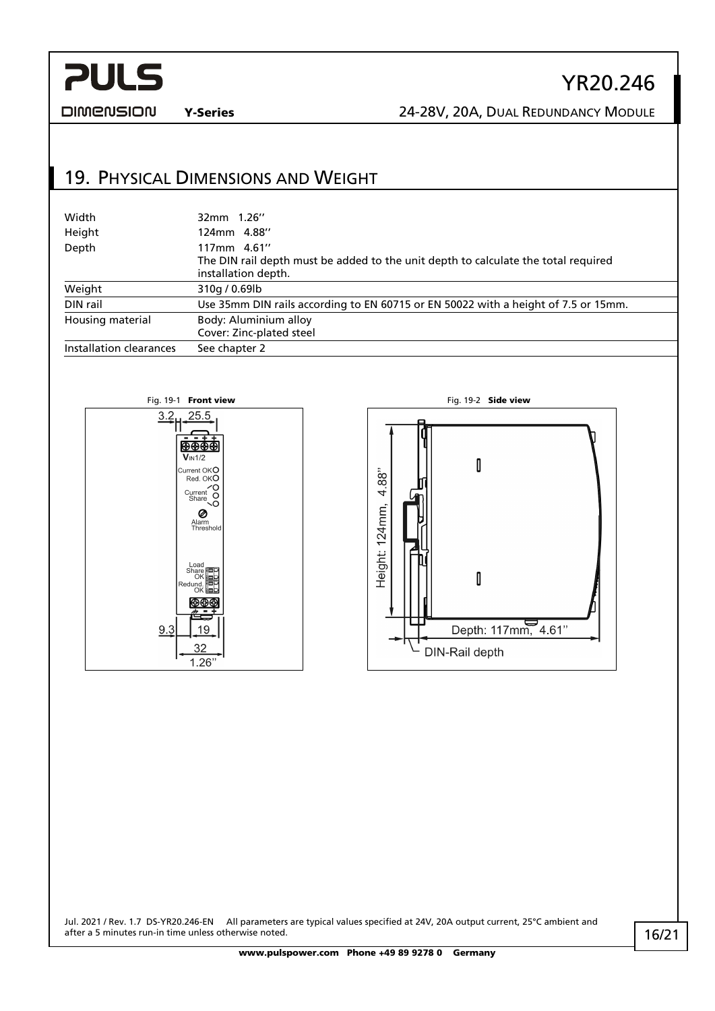### **DIMENSION**

### Y-Series 24-28V, 20A, DUAL REDUNDANCY MODULE

YR20.246

### <span id="page-15-0"></span>19. PHYSICAL DIMENSIONS AND WEIGHT

| Width                   | 32mm 1.26"                                                                         |  |
|-------------------------|------------------------------------------------------------------------------------|--|
| Height                  | 124mm 4.88"                                                                        |  |
| Depth                   | 117mm 4.61"                                                                        |  |
|                         | The DIN rail depth must be added to the unit depth to calculate the total required |  |
|                         | installation depth.                                                                |  |
| Weight                  | 310g / 0.69lb                                                                      |  |
| DIN rail                | Use 35mm DIN rails according to EN 60715 or EN 50022 with a height of 7.5 or 15mm. |  |
| Housing material        | Body: Aluminium alloy                                                              |  |
|                         | Cover: Zinc-plated steel                                                           |  |
| Installation clearances | See chapter 2                                                                      |  |



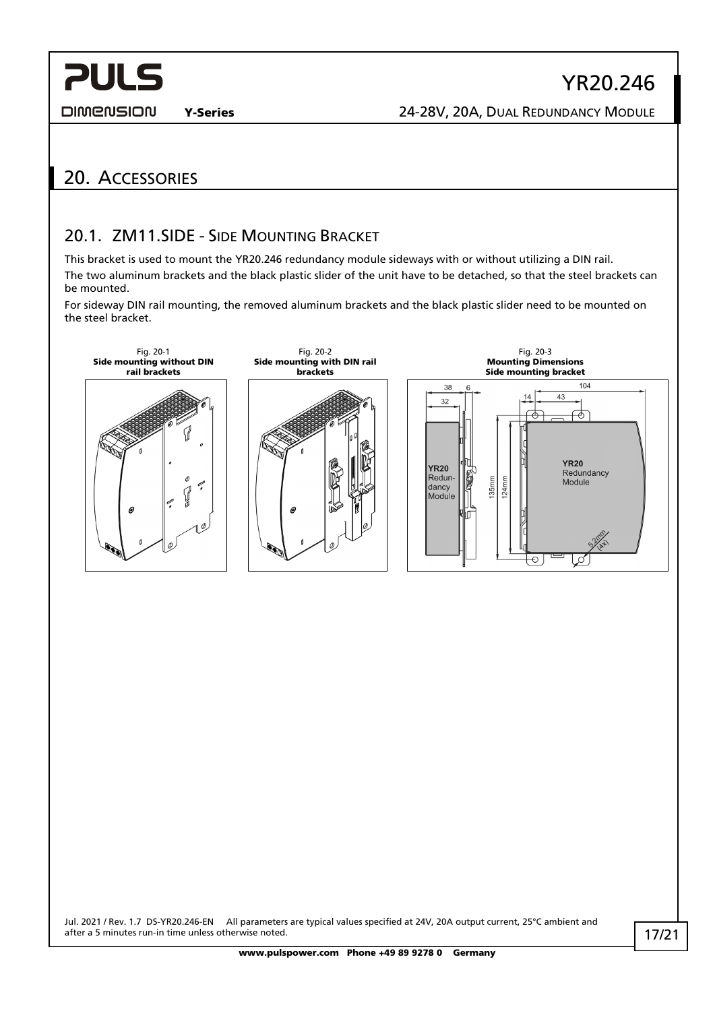**DIMENSION** 

Y-Series 24-28V, 20A, DUAL REDUNDANCY MODULE

## <span id="page-16-1"></span><span id="page-16-0"></span>20. ACCESSORIES

### 20.1. ZM11.SIDE - SIDE MOUNTING BRACKET

This bracket is used to mount the YR20.246 redundancy module sideways with or without utilizing a DIN rail. The two aluminum brackets and the black plastic slider of the unit have to be detached, so that the steel brackets can be mounted.

For sideway DIN rail mounting, the removed aluminum brackets and the black plastic slider need to be mounted on the steel bracket.

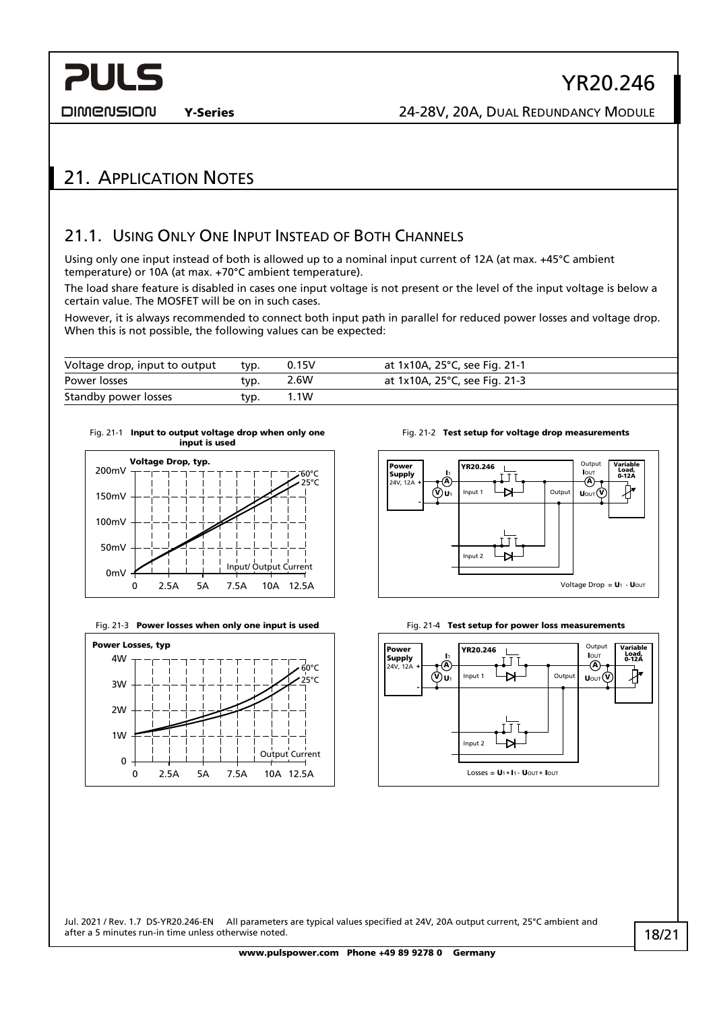DIMENSION

**PULS** 

### <span id="page-17-1"></span><span id="page-17-0"></span>21. APPLICATION NOTES

### 21.1. USING ONLY ONE INPUT INSTEAD OF BOTH CHANNELS

Using only one input instead of both is allowed up to a nominal input current of 12A (at max. +45°C ambient temperature) or 10A (at max. +70°C ambient temperature).

The load share feature is disabled in cases one input voltage is not present or the level of the input voltage is below a certain value. The MOSFET will be on in such cases.

However, it is always recommended to connect both input path in parallel for reduced power losses and voltage drop. When this is not possible, the following values can be expected:

| Voltage drop, input to output | typ. | 0.15V   | at 1x10A, 25°C, see Fig. 21-1 |
|-------------------------------|------|---------|-------------------------------|
| Power losses                  | typ. | 2.6W    | at 1x10A, 25°C, see Fig. 21-3 |
| Standby power losses          | typ. | . . 1 W |                               |

<span id="page-17-2"></span>



<span id="page-17-3"></span>



Fig. 21-2 Test setup for voltage drop measurements





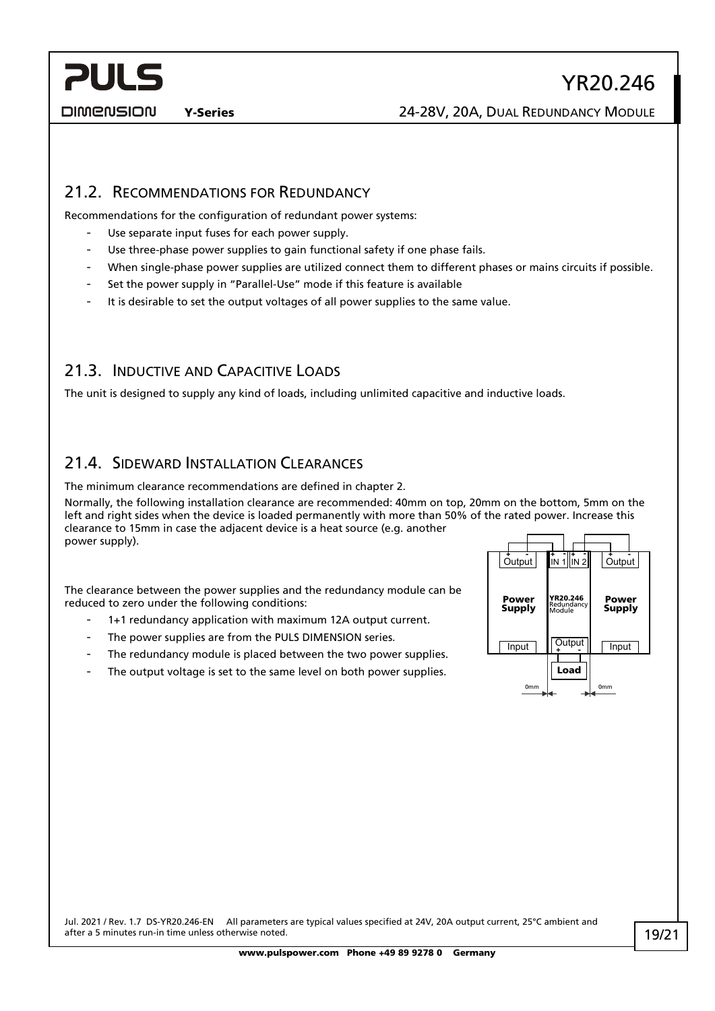**DIMENSION** 

Y-Series 24-28V, 20A, DUAL REDUNDANCY MODULE

### <span id="page-18-0"></span>21.2. RECOMMENDATIONS FOR REDUNDANCY

Recommendations for the configuration of redundant power systems:

- Use separate input fuses for each power supply.
- Use three-phase power supplies to gain functional safety if one phase fails.
- When single-phase power supplies are utilized connect them to different phases or mains circuits if possible.
- Set the power supply in "Parallel-Use" mode if this feature is available
- It is desirable to set the output voltages of all power supplies to the same value.

### <span id="page-18-1"></span>21.3. INDUCTIVE AND CAPACITIVE LOADS

<span id="page-18-2"></span>The unit is designed to supply any kind of loads, including unlimited capacitive and inductive loads.

### 21.4. SIDEWARD INSTALLATION CLEARANCES

The minimum clearance recommendations are defined in chapter [2.](#page-2-1)

Normally, the following installation clearance are recommended: 40mm on top, 20mm on the bottom, 5mm on the left and right sides when the device is loaded permanently with more than 50% of the rated power. Increase this clearance to 15mm in case the adjacent device is a heat source (e.g. another power supply).

The clearance between the power supplies and the redundancy module can be reduced to zero under the following conditions:

- 1+1 redundancy application with maximum 12A output current.
- The power supplies are from the PULS DIMENSION series.
- The redundancy module is placed between the two power supplies.
- The output voltage is set to the same level on both power supplies.

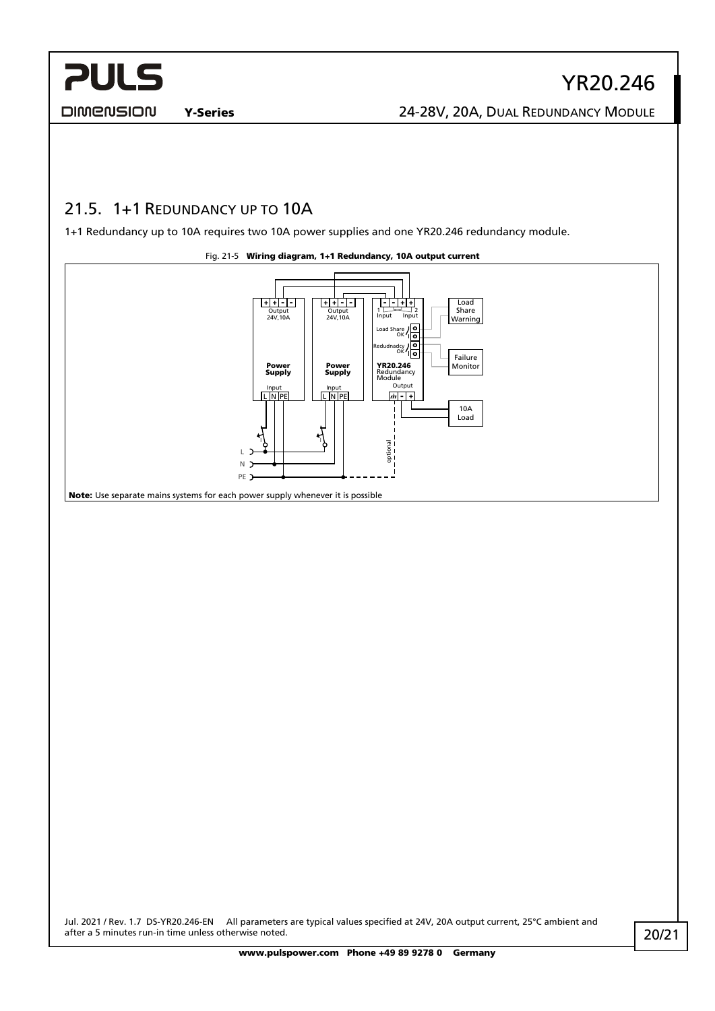**DIMENSION** 

Y-Series 24-28V, 20A, DUAL REDUNDANCY MODULE

### <span id="page-19-0"></span>21.5. 1+1 REDUNDANCY UP TO 10A

1+1 Redundancy up to 10A requires two 10A power supplies and one YR20.246 redundancy module.

Fig. 21-5 Wiring diagram, 1+1 Redundancy, 10A output current <u>| + + - - - |</u>  $\overline{ \begin{array}{ | l |} \hline \textbf{+} & \textbf{+} \end{array} }$ - - + + Load Share 24V,10A Output 24V,10A Output 1 Input <sup>2</sup> Input Warning ١o Load Share / O Redudnadcy / O Failure Power **YR20.246** Monitor<br>**Supply** Redundancy Monitor Power Supply Output Input<br>L N PE Input<br>L N PE  $\boxed{m}$  -  $\boxed{+}$ 10A Load I I L optional N ٠. PE<sup>-</sup> Note: Use separate mains systems for each power supply whenever it is possible

Jul. 2021 / Rev. 1.7 DS-YR20.246-EN All parameters are typical values specified at 24V, 20A output current, 25°C ambient and

after a 5 minutes run-in time unless otherwise noted.